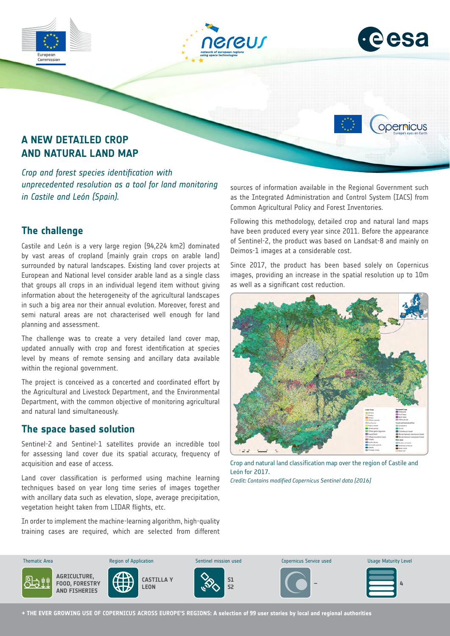





opernicus

# **A NEW DETAILED CROP AND NATURAL LAND MAP**

*Crop and forest species identification with unprecedented resolution as a tool for land monitoring in Castile and León (Spain).*

## **The challenge**

Castile and León is a very large region (94,224 km2) dominated by vast areas of cropland (mainly grain crops on arable land) surrounded by natural landscapes. Existing land cover projects at European and National level consider arable land as a single class that groups all crops in an individual legend item without giving information about the heterogeneity of the agricultural landscapes in such a big area nor their annual evolution. Moreover, forest and semi natural areas are not characterised well enough for land planning and assessment.

The challenge was to create a very detailed land cover map, updated annually with crop and forest identification at species level by means of remote sensing and ancillary data available within the regional government.

The project is conceived as a concerted and coordinated effort by the Agricultural and Livestock Department, and the Environmental Department, with the common objective of monitoring agricultural and natural land simultaneously.

#### **The space based solution**

Sentinel-2 and Sentinel-1 satellites provide an incredible tool for assessing land cover due its spatial accuracy, frequency of acquisition and ease of access.

Land cover classification is performed using machine learning techniques based on year long time series of images together with ancillary data such as elevation, slope, average precipitation, vegetation height taken from LIDAR flights, etc.

In order to implement the machine-learning algorithm, high-quality training cases are required, which are selected from different are req d, whi selected from differ

sources of information available in the Regional Government such as the Integrated Administration and Control System (IACS) from Common Agricultural Policy and Forest Inventories.

Following this methodology, detailed crop and natural land maps have been produced every year since 2011. Before the appearance of Sentinel-2, the product was based on Landsat-8 and mainly on Deimos-1 images at a considerable cost.

Since 2017, the product has been based solely on Copernicus images, providing an increase in the spatial resolution up to 10m as well as a significant cost reduction.



Crop and natural land classification map over the region of Castile and León for 2017.

*Credit: Contains modified Copernicus Sentinel data [2016]*



**→ THE EVER GROWING USE OF COPERNICUS ACROSS EUROPE'S REGIONS: A selection of 99 user stories by local and regional authorities**